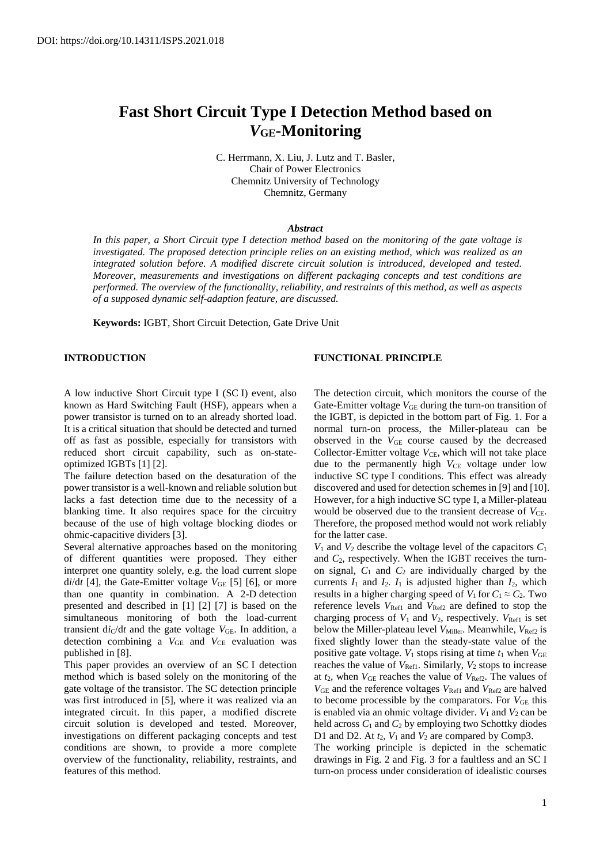# **Fast Short Circuit Type I Detection Method based on**  *V***GE-Monitoring**

C. Herrmann, X. Liu, J. Lutz and T. Basler, Chair of Power Electronics Chemnitz University of Technology Chemnitz, Germany

#### *Abstract*

*In this paper, a Short Circuit type I detection method based on the monitoring of the gate voltage is investigated. The proposed detection principle relies on an existing method, which was realized as an integrated solution before. A modified discrete circuit solution is introduced, developed and tested. Moreover, measurements and investigations on different packaging concepts and test conditions are performed. The overview of the functionality, reliability, and restraints of this method, as well as aspects of a supposed dynamic self-adaption feature, are discussed.*

**Keywords:** IGBT, Short Circuit Detection, Gate Drive Unit

## **INTRODUCTION**

# **FUNCTIONAL PRINCIPLE**

A low inductive Short Circuit type I (SC I) event, also known as Hard Switching Fault (HSF), appears when a power transistor is turned on to an already shorted load. It is a critical situation that should be detected and turned off as fast as possible, especially for transistors with reduced short circuit capability, such as on-stateoptimized IGBTs [1] [2].

The failure detection based on the desaturation of the power transistor is a well-known and reliable solution but lacks a fast detection time due to the necessity of a blanking time. It also requires space for the circuitry because of the use of high voltage blocking diodes or ohmic-capacitive dividers [3].

Several alternative approaches based on the monitoring of different quantities were proposed. They either interpret one quantity solely, e.g. the load current slope  $di/dt$  [4], the Gate-Emitter voltage  $V_{GE}$  [5] [6], or more than one quantity in combination. A 2-D detection presented and described in [1] [2] [7] is based on the simultaneous monitoring of both the load-current transient  $di_C/dt$  and the gate voltage  $V_{GE}$ . In addition, a detection combining a  $V_{GE}$  and  $V_{CE}$  evaluation was published in [8].

This paper provides an overview of an SC I detection method which is based solely on the monitoring of the gate voltage of the transistor. The SC detection principle was first introduced in [5], where it was realized via an integrated circuit. In this paper, a modified discrete circuit solution is developed and tested. Moreover, investigations on different packaging concepts and test conditions are shown, to provide a more complete overview of the functionality, reliability, restraints, and features of this method.

The detection circuit, which monitors the course of the Gate-Emitter voltage  $V_{GE}$  during the turn-on transition of the IGBT, is depicted in the bottom part of Fig. 1. For a normal turn-on process, the Miller-plateau can be observed in the  $V_{GE}$  course caused by the decreased Collector-Emitter voltage  $V_{\text{CE}}$ , which will not take place due to the permanently high  $V_{CE}$  voltage under low inductive SC type I conditions. This effect was already discovered and used for detection schemes in [9] and [10]. However, for a high inductive SC type I, a Miller-plateau would be observed due to the transient decrease of  $V_{\text{CE}}$ . Therefore, the proposed method would not work reliably for the latter case.

*V*<sub>1</sub> and *V*<sub>2</sub> describe the voltage level of the capacitors  $C_1$ and *C*2, respectively. When the IGBT receives the turnon signal,  $C_1$  and  $C_2$  are individually charged by the currents  $I_1$  and  $I_2$ .  $I_1$  is adjusted higher than  $I_2$ , which results in a higher charging speed of  $V_1$  for  $C_1 \approx C_2$ . Two reference levels  $V_{\text{Ref1}}$  and  $V_{\text{Ref2}}$  are defined to stop the charging process of  $V_1$  and  $V_2$ , respectively.  $V_{\text{Ref1}}$  is set below the Miller-plateau level *V*<sub>Miller</sub>. Meanwhile, *V*<sub>Ref2</sub> is fixed slightly lower than the steady-state value of the positive gate voltage.  $V_1$  stops rising at time  $t_1$  when  $V_{GE}$ reaches the value of  $V_{\text{Ref1}}$ . Similarly,  $V_2$  stops to increase at  $t_2$ , when  $V_{GE}$  reaches the value of  $V_{Ref2}$ . The values of *V*<sub>GE</sub> and the reference voltages *V*<sub>Ref1</sub> and *V*<sub>Ref2</sub> are halved to become processible by the comparators. For  $V_{GE}$  this is enabled via an ohmic voltage divider.  $V_1$  and  $V_2$  can be held across  $C_1$  and  $C_2$  by employing two Schottky diodes D1 and D2. At  $t_2$ ,  $V_1$  and  $V_2$  are compared by Comp3.

The working principle is depicted in the schematic drawings in Fig. 2 and Fig. 3 for a faultless and an SC I turn-on process under consideration of idealistic courses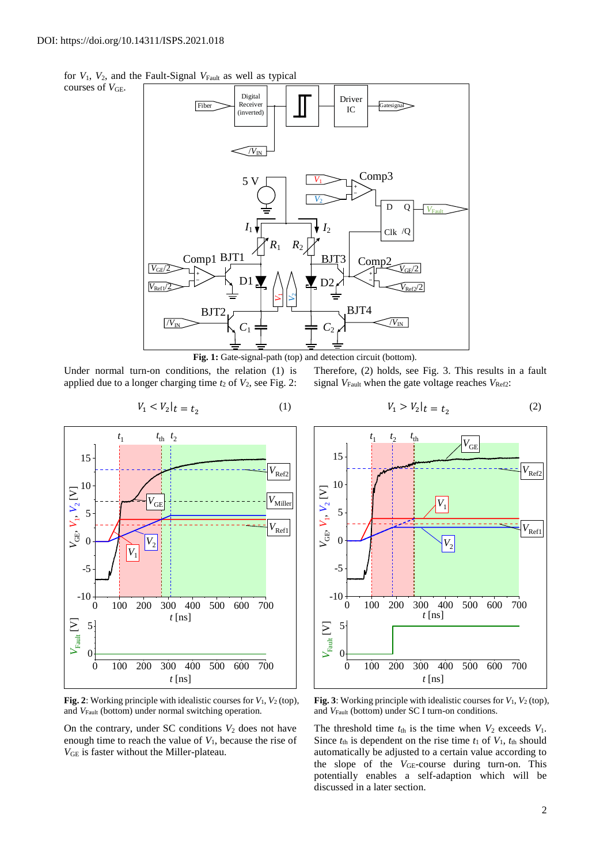courses of  $V_{GE}$ .

for  $V_1$ ,  $V_2$ , and the Fault-Signal  $V_{\text{Fault}}$  as well as typical



Fig. 1: Gate-signal-path (top) and detection circuit (bottom).

(1)

Under normal turn-on conditions, the relation (1) is applied due to a longer charging time  $t_2$  of  $V_2$ , see Fig. 2: Therefore, (2) holds, see Fig. 3. This results in a fault signal  $V_{\text{Fault}}$  when the gate voltage reaches  $V_{\text{Ref2}}$ :



**Fig. 2**: Working principle with idealistic courses for *V*1, *V*<sup>2</sup> (top), and *V*<sub>Fault</sub> (bottom) under normal switching operation.

On the contrary, under SC conditions  $V_2$  does not have enough time to reach the value of *V*1, because the rise of *V*GE is faster without the Miller-plateau.

$$
V_1 > V_2|_t = t_2 \tag{2}
$$



**Fig. 3**: Working principle with idealistic courses for  $V_1$ ,  $V_2$  (top), and *V*<sub>Fault</sub> (bottom) under SC I turn-on conditions.

The threshold time  $t_{th}$  is the time when  $V_2$  exceeds  $V_1$ . Since  $t_{\text{th}}$  is dependent on the rise time  $t_1$  of  $V_1$ ,  $t_{\text{th}}$  should automatically be adjusted to a certain value according to the slope of the *V*<sub>GE</sub>-course during turn-on. This potentially enables a self-adaption which will be discussed in a later section.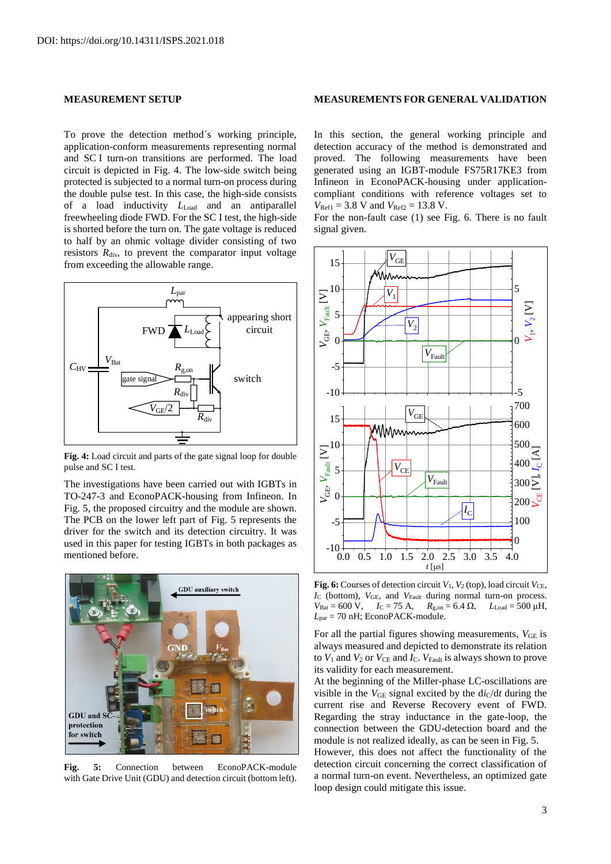# **MEASUREMENT SETUP**

To prove the detection method´s working principle, application-conform measurements representing normal and SC I turn-on transitions are performed. The load circuit is depicted in Fig. 4. The low-side switch being protected is subjected to a normal turn-on process during the double pulse test. In this case, the high-side consists of a load inductivity *L*Load and an antiparallel freewheeling diode FWD. For the SC I test, the high-side is shorted before the turn on. The gate voltage is reduced to half by an ohmic voltage divider consisting of two resistors  $R_{div}$ , to prevent the comparator input voltage from exceeding the allowable range.



**Fig. 4:** Load circuit and parts of the gate signal loop for double pulse and SC I test.

The investigations have been carried out with IGBTs in TO-247-3 and EconoPACK-housing from Infineon. In [Fig. 5,](#page-2-0) the proposed circuitry and the module are shown. The PCB on the lower left part of Fig. 5 represents the driver for the switch and its detection circuitry. It was used in this paper for testing IGBTs in both packages as mentioned before.



<span id="page-2-0"></span>**Fig. 5:** Connection between EconoPACK-module with Gate Drive Unit (GDU) and detection circuit (bottom left).

## **MEASUREMENTS FOR GENERAL VALIDATION**

In this section, the general working principle and detection accuracy of the method is demonstrated and proved. The following measurements have been generated using an IGBT-module FS75R17KE3 from Infineon in EconoPACK-housing under applicationcompliant conditions with reference voltages set to  $V_{\text{Ref1}} = 3.8 \text{ V}$  and  $V_{\text{Ref2}} = 13.8 \text{ V}$ .

For the non-fault case (1) see [Fig. 6.](#page-2-1) There is no fault signal given.



<span id="page-2-1"></span>**Fig. 6:** Courses of detection circuit  $V_1$ ,  $V_2$  (top), load circuit  $V_{\text{CE}}$ , *I*<sup>C</sup> (bottom), *V*GE, and *V*Fault during normal turn-on process.  $V_{\text{Bat}} = 600 \text{ V}, \quad I_C = 75 \text{ A}, \quad R_{\text{g,on}} = 6.4 \Omega, \quad L_{\text{Load}} = 500 \mu\text{H},$ *L*par = 70 nH; EconoPACK-module.

For all the partial figures showing measurements,  $V_{GE}$  is always measured and depicted to demonstrate its relation to  $V_1$  and  $V_2$  or  $V_{CE}$  and  $I_C$ .  $V_{Fault}$  is always shown to prove its validity for each measurement.

At the beginning of the Miller-phase LC-oscillations are visible in the  $V_{GE}$  signal excited by the  $di_C/dt$  during the current rise and Reverse Recovery event of FWD. Regarding the stray inductance in the gate-loop, the connection between the GDU-detection board and the module is not realized ideally, as can be seen in [Fig. 5.](#page-2-0) However, this does not affect the functionality of the

detection circuit concerning the correct classification of a normal turn-on event. Nevertheless, an optimized gate loop design could mitigate this issue.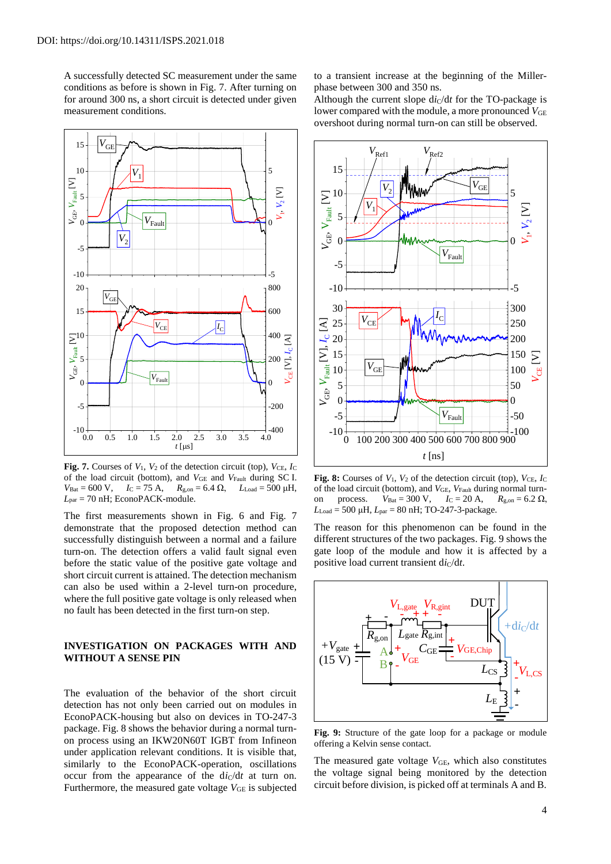A successfully detected SC measurement under the same conditions as before is shown in [Fig. 7.](#page-3-0) After turning on for around 300 ns, a short circuit is detected under given measurement conditions.



<span id="page-3-0"></span>**Fig. 7.** Courses of  $V_1$ ,  $V_2$  of the detection circuit (top),  $V_{\text{CE}}$ ,  $I_{\text{C}}$ of the load circuit (bottom), and  $V_{GE}$  and  $V_{Fault}$  during SC I.  $V_{\text{Bat}} = 600 \text{ V}, \quad I_C = 75 \text{ A}, \quad R_{\text{g,on}} = 6.4 \Omega, \quad L_{\text{Load}} = 500 \text{ µH},$  $L_{\text{par}}$  = 70 nH; EconoPACK-module.

The first measurements shown in [Fig. 6](#page-2-1) and [Fig. 7](#page-3-0) demonstrate that the proposed detection method can successfully distinguish between a normal and a failure turn-on. The detection offers a valid fault signal even before the static value of the positive gate voltage and short circuit current is attained. The detection mechanism can also be used within a 2-level turn-on procedure, where the full positive gate voltage is only released when no fault has been detected in the first turn-on step.

# **INVESTIGATION ON PACKAGES WITH AND WITHOUT A SENSE PIN**

The evaluation of the behavior of the short circuit detection has not only been carried out on modules in EconoPACK-housing but also on devices in TO-247-3 package. [Fig. 8](#page-3-1) shows the behavior during a normal turnon process using an IKW20N60T IGBT from Infineon under application relevant conditions. It is visible that, similarly to the EconoPACK-operation, oscillations occur from the appearance of the  $di_C/dt$  at turn on. Furthermore, the measured gate voltage  $V_{GE}$  is subjected to a transient increase at the beginning of the Millerphase between 300 and 350 ns.

Although the current slope  $di_C/dt$  for the TO-package is lower compared with the module, a more pronounced  $V_{GE}$ overshoot during normal turn-on can still be observed.



<span id="page-3-1"></span>**Fig. 8:** Courses of  $V_1$ ,  $V_2$  of the detection circuit (top),  $V_{\text{CE}}$ ,  $I_{\text{C}}$ of the load circuit (bottom), and *V*GE, *V*Fault during normal turnon process. *V*<sub>Bat</sub> = 300 V, *I*<sub>C</sub> = 20 A, *R*<sub>g,on</sub> = 6.2 Ω,  $L_{Load}$  = 500 μH,  $L_{par}$  = 80 nH; TO-247-3-package.

The reason for this phenomenon can be found in the different structures of the two packages. [Fig. 9](#page-3-2) shows the gate loop of the module and how it is affected by a positive load current transient  $di_C/dt$ .



<span id="page-3-2"></span>**Fig. 9:** Structure of the gate loop for a package or module offering a Kelvin sense contact.

The measured gate voltage  $V_{GE}$ , which also constitutes the voltage signal being monitored by the detection circuit before division, is picked off at terminals A and B.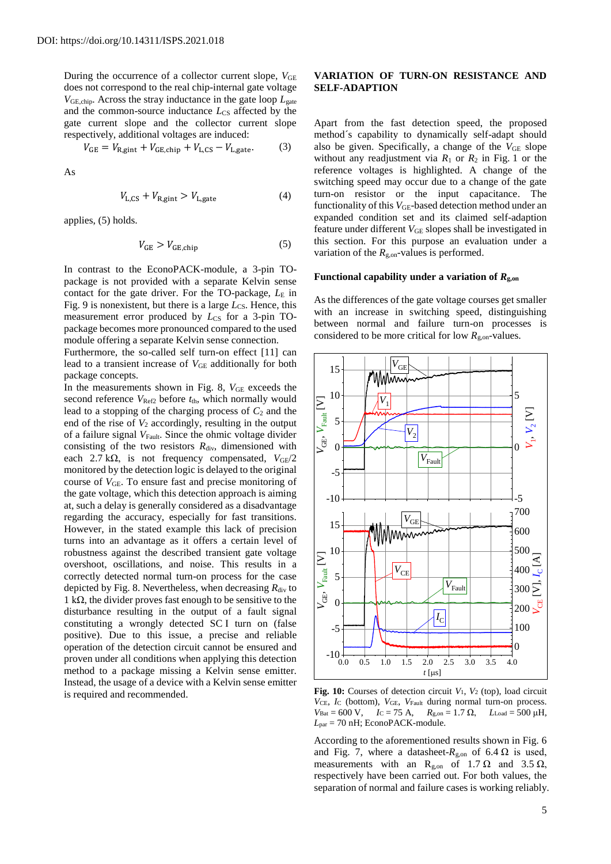During the occurrence of a collector current slope,  $V_{GE}$ does not correspond to the real chip-internal gate voltage *V*GE,chip. Across the stray inductance in the gate loop *L*gate and the common-source inductance *L*<sub>CS</sub> affected by the gate current slope and the collector current slope respectively, additional voltages are induced:

$$
V_{GE} = V_{R, gint} + V_{GE, chip} + V_{L,CS} - V_{L, gate}.
$$
 (3)

As

$$
V_{\text{L,CS}} + V_{\text{R,gint}} > V_{\text{L,gate}} \tag{4}
$$

applies, (5) holds.

$$
V_{GE} > V_{GE, chip} \tag{5}
$$

In contrast to the EconoPACK-module, a 3-pin TOpackage is not provided with a separate Kelvin sense contact for the gate driver. For the TO-package,  $L<sub>E</sub>$  in Fig. 9 is nonexistent, but there is a large *L*<sub>CS</sub>. Hence, this measurement error produced by *L*<sub>CS</sub> for a 3-pin TOpackage becomes more pronounced compared to the used module offering a separate Kelvin sense connection.

Furthermore, the so-called self turn-on effect [11] can lead to a transient increase of  $V_{GE}$  additionally for both package concepts.

In the measurements shown in [Fig. 8,](#page-3-1)  $V_{GE}$  exceeds the second reference  $V_{\text{Ref2}}$  before  $t_{\text{th}}$ , which normally would lead to a stopping of the charging process of  $C_2$  and the end of the rise of  $V_2$  accordingly, resulting in the output of a failure signal *V*<sub>Fault</sub>. Since the ohmic voltage divider consisting of the two resistors  $R_{div}$ , dimensioned with each 2.7 k $\Omega$ , is not frequency compensated,  $V_{\text{GF}}/2$ monitored by the detection logic is delayed to the original course of  $V_{GE}$ . To ensure fast and precise monitoring of the gate voltage, which this detection approach is aiming at, such a delay is generally considered as a disadvantage regarding the accuracy, especially for fast transitions. However, in the stated example this lack of precision turns into an advantage as it offers a certain level of robustness against the described transient gate voltage overshoot, oscillations, and noise. This results in a correctly detected normal turn-on process for the case depicted by [Fig. 8.](#page-3-1) Nevertheless, when decreasing  $R_{div}$  to 1 kΩ, the divider proves fast enough to be sensitive to the disturbance resulting in the output of a fault signal constituting a wrongly detected SC I turn on (false positive). Due to this issue, a precise and reliable operation of the detection circuit cannot be ensured and proven under all conditions when applying this detection method to a package missing a Kelvin sense emitter. Instead, the usage of a device with a Kelvin sense emitter is required and recommended.

# **VARIATION OF TURN-ON RESISTANCE AND SELF-ADAPTION**

Apart from the fast detection speed, the proposed method´s capability to dynamically self-adapt should also be given. Specifically, a change of the  $V_{GE}$  slope without any readjustment via  $R_1$  or  $R_2$  in Fig. 1 or the reference voltages is highlighted. A change of the switching speed may occur due to a change of the gate turn-on resistor or the input capacitance. The functionality of this  $V_{GE}$ -based detection method under an expanded condition set and its claimed self-adaption feature under different *V*<sub>GE</sub> slopes shall be investigated in this section. For this purpose an evaluation under a variation of the *R*g,on-values is performed.

## **Functional capability under a variation of** *R***g,on**

As the differences of the gate voltage courses get smaller with an increase in switching speed, distinguishing between normal and failure turn-on processes is considered to be more critical for low  $R_{\text{g,on}}$ -values.



<span id="page-4-0"></span>**Fig. 10:** Courses of detection circuit  $V_1$ ,  $V_2$  (top), load circuit *V*CE, *I*<sup>C</sup> (bottom), *V*GE, *V*Fault during normal turn-on process.  $V_{\text{Bat}} = 600 \text{ V}, \quad I_{\text{C}} = 75 \text{ A}, \quad R_{\text{g,on}} = 1.7 \Omega, \quad L_{\text{Load}} = 500 \mu\text{H},$  $L_{\text{par}}$  = 70 nH; EconoPACK-module.

According to the aforementioned results shown in [Fig. 6](#page-2-1) and [Fig. 7,](#page-3-0) where a datasheet- $R_{\text{g,on}}$  of 6.4  $\Omega$  is used, measurements with an R<sub>g,on</sub> of 1.7  $\Omega$  and 3.5  $\Omega$ , respectively have been carried out. For both values, the separation of normal and failure cases is working reliably.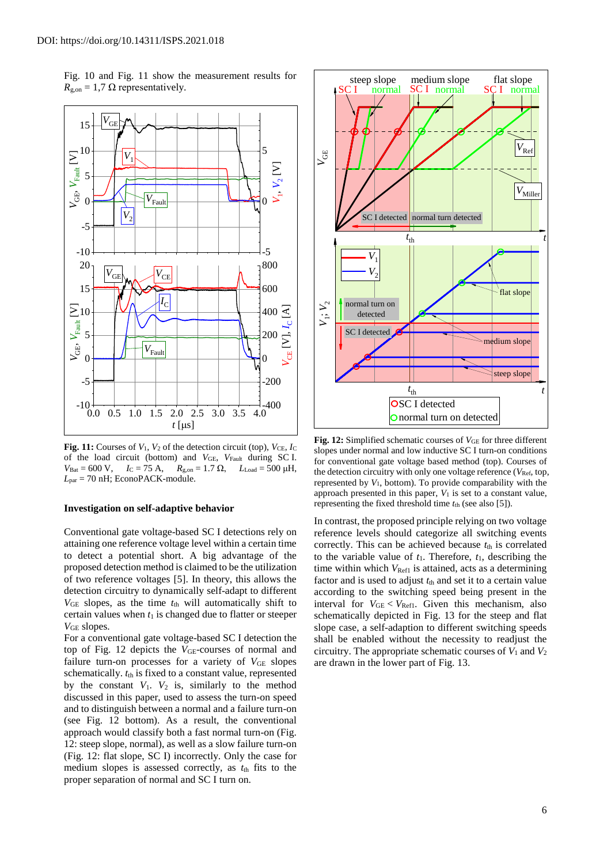[Fig. 10](#page-4-0) and [Fig. 11](#page-5-0) show the measurement results for  $R_{\rm g,on} = 1.7 \Omega$  representatively.



<span id="page-5-0"></span>**Fig. 11:** Courses of  $V_1$ ,  $V_2$  of the detection circuit (top),  $V_{\text{CE}}$ ,  $I_{\text{C}}$ of the load circuit (bottom) and *V*GE, *V*Fault during SC I.  $V_{\text{Bat}} = 600 \text{ V}, \quad I_{\text{C}} = 75 \text{ A}, \quad R_{\text{g,on}} = 1.7 \Omega, \quad L_{\text{Load}} = 500 \text{ µH},$  $L_{\text{par}}$  = 70 nH; EconoPACK-module.

#### **Investigation on self-adaptive behavior**

Conventional gate voltage-based SC I detections rely on attaining one reference voltage level within a certain time to detect a potential short. A big advantage of the proposed detection method is claimed to be the utilization of two reference voltages [5]. In theory, this allows the detection circuitry to dynamically self-adapt to different  $V_{GE}$  slopes, as the time  $t<sub>th</sub>$  will automatically shift to certain values when  $t_1$  is changed due to flatter or steeper *V*GE slopes.

For a conventional gate voltage-based SC I detection the top of [Fig. 12](#page-5-1) depicts the *V*<sub>GE</sub>-courses of normal and failure turn-on processes for a variety of  $V_{GE}$  slopes schematically.  $t_{\text{th}}$  is fixed to a constant value, represented by the constant  $V_1$ .  $V_2$  is, similarly to the method discussed in this paper, used to assess the turn-on speed and to distinguish between a normal and a failure turn-on (see [Fig. 12](#page-5-1) bottom). As a result, the conventional approach would classify both a fast normal turn-on (Fig. 12: steep slope, normal), as well as a slow failure turn-on (Fig. 12: flat slope, SC I) incorrectly. Only the case for medium slopes is assessed correctly, as  $t_{\text{th}}$  fits to the proper separation of normal and SC I turn on.



<span id="page-5-1"></span>**Fig. 12:** Simplified schematic courses of *V*GE for three different slopes under normal and low inductive SC I turn-on conditions for conventional gate voltage based method (top). Courses of the detection circuitry with only one voltage reference (*V<sub>Ref,</sub> top,* represented by *V*1, bottom). To provide comparability with the approach presented in this paper, *V*<sup>1</sup> is set to a constant value, representing the fixed threshold time *t*th (see also [5]).

In contrast, the proposed principle relying on two voltage reference levels should categorize all switching events correctly. This can be achieved because  $t_{\text{th}}$  is correlated to the variable value of  $t_1$ . Therefore,  $t_1$ , describing the time within which *V*<sub>Ref1</sub> is attained, acts as a determining factor and is used to adjust  $t_{\text{th}}$  and set it to a certain value according to the switching speed being present in the interval for  $V_{GE}$  <  $V_{Ref1}$ . Given this mechanism, also schematically depicted in [Fig. 13](#page-6-0) for the steep and flat slope case, a self-adaption to different switching speeds shall be enabled without the necessity to readjust the circuitry. The appropriate schematic courses of  $V_1$  and  $V_2$ are drawn in the lower part of [Fig. 13.](#page-6-0)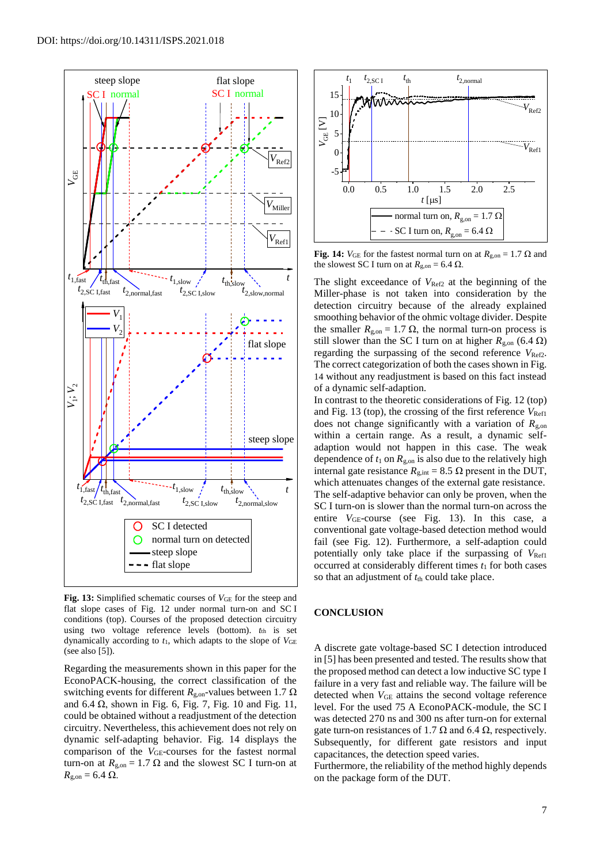

<span id="page-6-0"></span>**Fig. 13:** Simplified schematic courses of *V*GE for the steep and flat slope cases of [Fig. 12](#page-5-1) under normal turn-on and SC I conditions (top). Courses of the proposed detection circuitry using two voltage reference levels (bottom). *t*th is set dynamically according to *t*1, which adapts to the slope of *V*GE (see also [5]).

Regarding the measurements shown in this paper for the EconoPACK-housing, the correct classification of the switching events for different  $R_{\text{g,on}}$ -values between 1.7  $\Omega$ and  $6.4 \Omega$ , shown in [Fig. 6,](#page-2-1) [Fig. 7,](#page-3-0) [Fig. 10](#page-4-0) and [Fig. 11,](#page-5-0) could be obtained without a readjustment of the detection circuitry. Nevertheless, this achievement does not rely on dynamic self-adapting behavior. [Fig. 14](#page-6-1) displays the comparison of the *V<sub>GE</sub>*-courses for the fastest normal turn-on at  $R_{\rm g, on} = 1.7 \Omega$  and the slowest SC I turn-on at  $R_{\text{g,on}} = 6.4 \Omega$ .



<span id="page-6-1"></span>**Fig. 14:**  $V_{GE}$  for the fastest normal turn on at  $R_{g,on} = 1.7 \Omega$  and the slowest SC I turn on at  $R_{\text{g,on}} = 6.4 \Omega$ .

The slight exceedance of  $V_{\text{Ref2}}$  at the beginning of the Miller-phase is not taken into consideration by the detection circuitry because of the already explained smoothing behavior of the ohmic voltage divider. Despite the smaller  $R_{\text{g,on}} = 1.7 \Omega$ , the normal turn-on process is still slower than the SC I turn on at higher  $R_{\text{g, on}}$  (6.4 Ω) regarding the surpassing of the second reference  $V_{\text{Ref2}}$ . The correct categorization of both the cases shown i[n Fig.](#page-6-1)  [14](#page-6-1) without any readjustment is based on this fact instead of a dynamic self-adaption.

In contrast to the theoretic considerations of [Fig. 12](#page-5-1) (top) and [Fig. 13](#page-6-0) (top), the crossing of the first reference  $V_{\text{Ref}}$ does not change significantly with a variation of  $R_{\text{g,on}}$ within a certain range. As a result, a dynamic selfadaption would not happen in this case. The weak dependence of  $t_1$  on  $R_{g,on}$  is also due to the relatively high internal gate resistance  $R_{\text{g,int}} = 8.5 \Omega$  present in the DUT, which attenuates changes of the external gate resistance. The self-adaptive behavior can only be proven, when the SC I turn-on is slower than the normal turn-on across the entire *V*<sub>GE</sub>-course (see [Fig. 13\)](#page-6-0). In this case, a conventional gate voltage-based detection method would fail (see [Fig. 12\)](#page-5-1). Furthermore, a self-adaption could potentially only take place if the surpassing of  $V_{\text{Ref1}}$ occurred at considerably different times  $t_1$  for both cases so that an adjustment of  $t<sub>th</sub>$  could take place.

## **CONCLUSION**

A discrete gate voltage-based SC I detection introduced in [5] has been presented and tested. The results show that the proposed method can detect a low inductive SC type I failure in a very fast and reliable way. The failure will be detected when  $V_{GE}$  attains the second voltage reference level. For the used 75 A EconoPACK-module, the SC I was detected 270 ns and 300 ns after turn-on for external gate turn-on resistances of 1.7  $\Omega$  and 6.4  $\Omega$ , respectively. Subsequently, for different gate resistors and input capacitances, the detection speed varies.

Furthermore, the reliability of the method highly depends on the package form of the DUT.